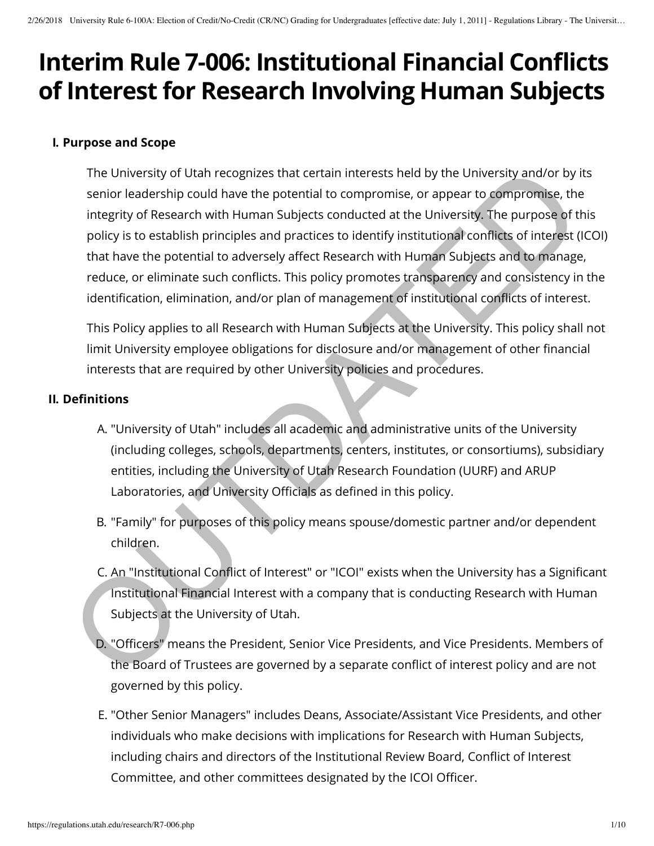# **Interim Rule 7-006: Institutional Financial Conflicts of Interest for Research Involving Human Subjects**

#### **I. Purpose and Scope**

The University of Utah recognizes that certain interests held by the University and/or by its senior leadership could have the potential to compromise, or appear to compromise, the integrity of Research with Human Subjects conducted at the University. The purpose of this policy is to establish principles and practices to identify institutional conflicts of interest (ICOI) that have the potential to adversely affect Research with Human Subjects and to manage, reduce, or eliminate such conflicts. This policy promotes transparency and consistency in the identification, elimination, and/or plan of management of institutional conflicts of interest. The University of Utah recognizes that certain interests held by the University and/or by isomior leadership could have the potential to compromise, or appear to compromise, the purpose of the picty of Research with Human

This Policy applies to all Research with Human Subjects at the University. This policy shall not limit University employee obligations for disclosure and/or management of other financial interests that are required by other University policies and procedures.

#### **II. Definitions**

- A. "University of Utah" includes all academic and administrative units of the University (including colleges, schools, departments, centers, institutes, or consortiums), subsidiary entities, including the University of Utah Research Foundation (UURF) and ARUP Laboratories, and University Officials as defined in this policy.
- B. "Family" for purposes of this policy means spouse/domestic partner and/or dependent children.
- C. An "Institutional Conflict of Interest" or "ICOI" exists when the University has a Significant Institutional Financial Interest with a company that is conducting Research with Human Subjects at the University of Utah.
- D. "Officers" means the President, Senior Vice Presidents, and Vice Presidents. Members of the Board of Trustees are governed by a separate conflict of interest policy and are not governed by this policy.
- E. "Other Senior Managers" includes Deans, Associate/Assistant Vice Presidents, and other individuals who make decisions with implications for Research with Human Subjects, including chairs and directors of the Institutional Review Board, Conflict of Interest Committee, and other committees designated by the ICOI Officer.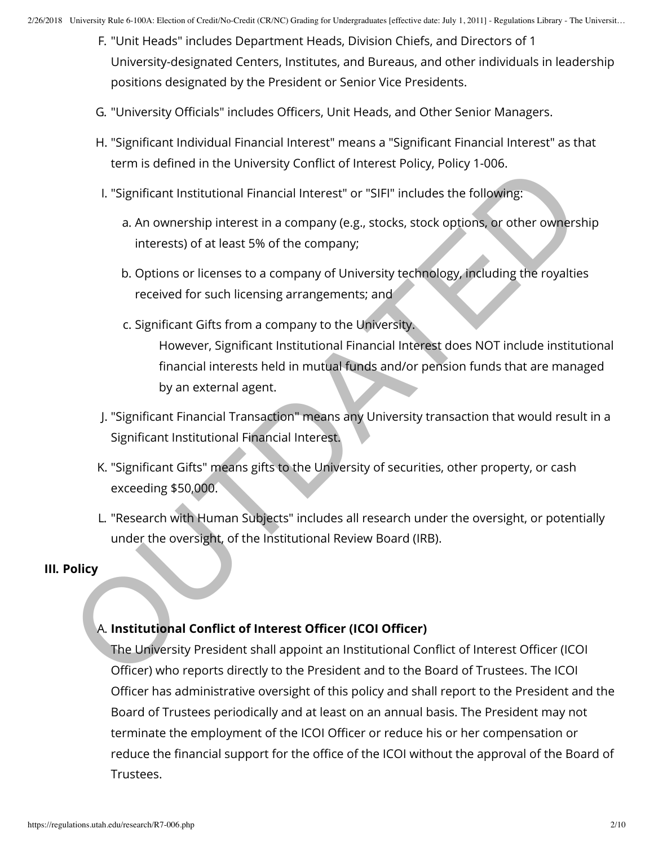- F. "Unit Heads" includes Department Heads, Division Chiefs, and Directors of 1 University-designated Centers, Institutes, and Bureaus, and other individuals in leadership positions designated by the President or Senior Vice Presidents.
- G. "University Officials" includes Officers, Unit Heads, and Other Senior Managers.
- H. "Significant Individual Financial Interest" means a "Significant Financial Interest" as that term is defined in the University Conflict of Interest Policy, Policy 1-006.
- I. "Significant Institutional Financial Interest" or "SIFI" includes the following:
	- a. An ownership interest in a company (e.g., stocks, stock options, or other ownership interests) of at least 5% of the company;
	- b. Options or licenses to a company of University technology, including the royalties received for such licensing arrangements; and
	- c. Significant Gifts from a company to the University.

However, Significant Institutional Financial Interest does NOT include institutional financial interests held in mutual funds and/or pension funds that are managed by an external agent. Lemis demokration Financial Interest" or "SIFI" includes the following:<br>
a. An ownership interest in a company (e.g., stocks, stock options, or other owners<br>
interests) of a tleast 5% of the company;<br>
b. Options or licensi

- J. "Significant Financial Transaction" means any University transaction that would result in a Significant Institutional Financial Interest.
- K. "Significant Gifts" means gifts to the University of securities, other property, or cash exceeding \$50,000.
- L. "Research with Human Subjects" includes all research under the oversight, or potentially under the oversight, of the Institutional Review Board (IRB).

#### **III. Policy**

## A. Institutional Conflict of Interest Officer (ICOI Officer)

The University President shall appoint an Institutional Conflict of Interest Officer (ICOI Officer) who reports directly to the President and to the Board of Trustees. The ICOI Officer has administrative oversight of this policy and shall report to the President and the Board of Trustees periodically and at least on an annual basis. The President may not terminate the employment of the ICOI Officer or reduce his or her compensation or reduce the financial support for the office of the ICOI without the approval of the Board of Trustees.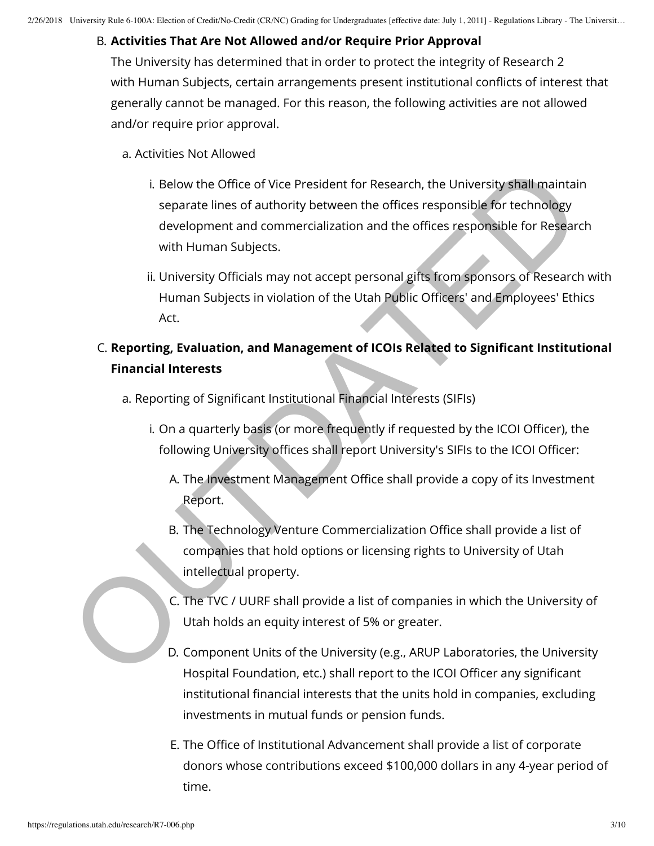# B. **Activities That Are Not Allowed and/or Require Prior Approval**

The University has determined that in order to protect the integrity of Research 2 with Human Subjects, certain arrangements present institutional conflicts of interest that generally cannot be managed. For this reason, the following activities are not allowed and/or require prior approval.

- a. Activities Not Allowed
- i. Below the Office of Vice President for Research, the University shall maintain separate lines of authority between the offices responsible for technology development and commercialization and the offices responsible for Research with Human Subjects. i. Below the Office of Vice President for Research, the University shall maintain<br>separate lines of authority between the offices responsible for technology<br>development and commercialization and the offices responsible for
	- ii. University Officials may not accept personal gifts from sponsors of Research with Human Subjects in violation of the Utah Public Officers' and Employees' Ethics Act.

# C. **Reporting, Evaluation, and Management of ICOIs Related to Signicant Institutional Financial Interests**

- a. Reporting of Significant Institutional Financial Interests (SIFIs)
	- i. On a quarterly basis (or more frequently if requested by the ICOI Officer), the following University offices shall report University's SIFIs to the ICOI Officer:
		- A. The Investment Management Office shall provide a copy of its Investment Report.
		- B. The Technology Venture Commercialization Office shall provide a list of companies that hold options or licensing rights to University of Utah intellectual property.
		- C. The TVC / UURF shall provide a list of companies in which the University of Utah holds an equity interest of 5% or greater.
		- D. Component Units of the University (e.g., ARUP Laboratories, the University Hospital Foundation, etc.) shall report to the ICOI Officer any significant institutional financial interests that the units hold in companies, excluding investments in mutual funds or pension funds.
		- E. The Office of Institutional Advancement shall provide a list of corporate donors whose contributions exceed \$100,000 dollars in any 4-year period of time.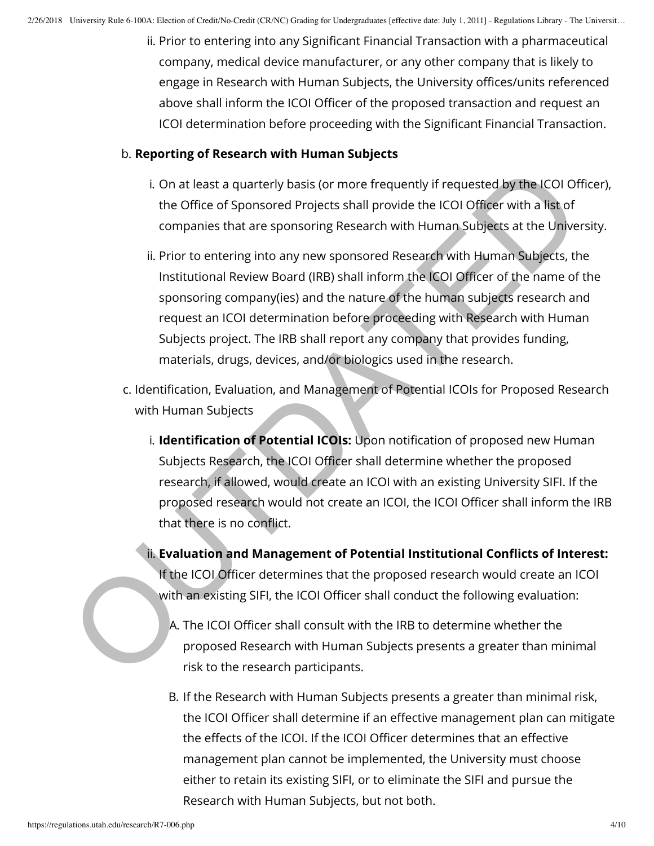ii. Prior to entering into any Significant Financial Transaction with a pharmaceutical company, medical device manufacturer, or any other company that is likely to engage in Research with Human Subjects, the University offices/units referenced above shall inform the ICOI Officer of the proposed transaction and request an ICOI determination before proceeding with the Significant Financial Transaction.

# b. **Reporting of Research with Human Subjects**

- i. On at least a quarterly basis (or more frequently if requested by the ICOI Officer), the Office of Sponsored Projects shall provide the ICOI Officer with a list of companies that are sponsoring Research with Human Subjects at the University.
- ii. Prior to entering into any new sponsored Research with Human Subjects, the Institutional Review Board (IRB) shall inform the ICOI Officer of the name of the sponsoring company(ies) and the nature of the human subjects research and request an ICOI determination before proceeding with Research with Human Subjects project. The IRB shall report any company that provides funding, materials, drugs, devices, and/or biologics used in the research. i. On at least a quarterly basis (or more frequently if requested by the LCOI Of<br>the Office of Sponsored Projects shall provide the LCOI Officer with a lisk of<br>companies that are sponsoring Research with Human Subjects at
	- c. Identification, Evaluation, and Management of Potential ICOIs for Proposed Research with Human Subjects
		- i. **Identification of Potential ICOIs:** Upon notification of proposed new Human Subjects Research, the ICOI Officer shall determine whether the proposed research, if allowed, would create an ICOI with an existing University SIFI. If the proposed research would not create an ICOI, the ICOI Officer shall inform the IRB that there is no conflict.
		- ii. Evaluation and Management of Potential Institutional Conflicts of Interest: If the ICOI Officer determines that the proposed research would create an ICOI with an existing SIFI, the ICOI Officer shall conduct the following evaluation:
			- A. The ICOI Officer shall consult with the IRB to determine whether the proposed Research with Human Subjects presents a greater than minimal risk to the research participants.
			- B. If the Research with Human Subjects presents a greater than minimal risk, the ICOI Officer shall determine if an effective management plan can mitigate the effects of the ICOI. If the ICOI Officer determines that an effective management plan cannot be implemented, the University must choose either to retain its existing SIFI, or to eliminate the SIFI and pursue the Research with Human Subjects, but not both.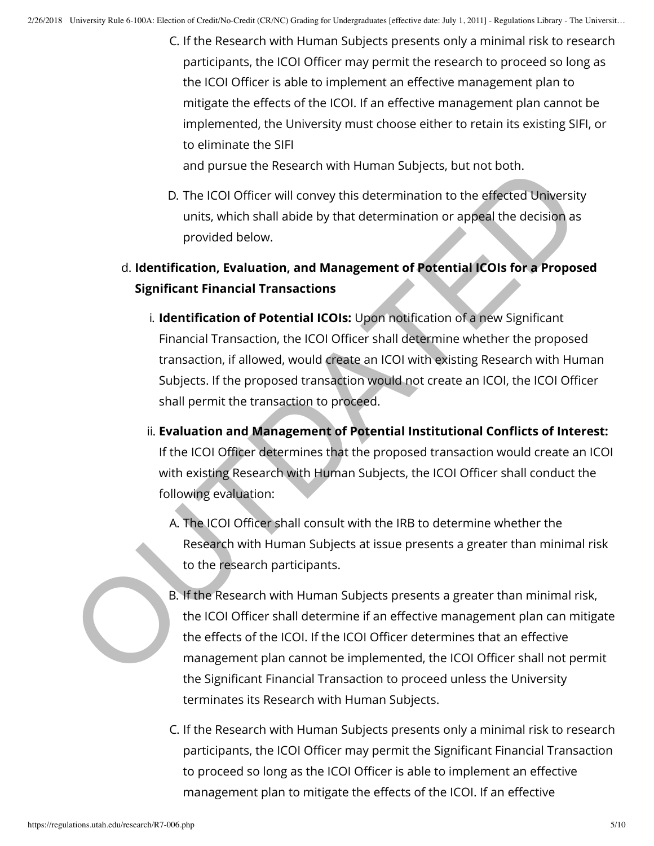C. If the Research with Human Subjects presents only a minimal risk to research participants, the ICOI Officer may permit the research to proceed so long as the ICOI Officer is able to implement an effective management plan to mitigate the effects of the ICOI. If an effective management plan cannot be implemented, the University must choose either to retain its existing SIFI, or to eliminate the SIFI

and pursue the Research with Human Subjects, but not both.

- D. The ICOI Officer will convey this determination to the effected University units, which shall abide by that determination or appeal the decision as provided below.
- d. **Identication, Evaluation, and Management of Potential ICOIs for a Proposed Signicant Financial Transactions**
- i. **Identification of Potential ICOIs:** Upon notification of a new Significant Financial Transaction, the ICOI Officer shall determine whether the proposed transaction, if allowed, would create an ICOI with existing Research with Human Subjects. If the proposed transaction would not create an ICOI, the ICOI Officer shall permit the transaction to proceed. and pursue the Research with Human Subjects, but not both.<br>
D. The ICOI Officer will convey this determination to the effected University<br>
units, which shall abide by that determination or appeal the decision as<br>
provided
	- ii. Evaluation and Management of Potential Institutional Conflicts of Interest: If the ICOI Officer determines that the proposed transaction would create an ICOI with existing Research with Human Subjects, the ICOI Officer shall conduct the following evaluation:
		- A. The ICOI Officer shall consult with the IRB to determine whether the Research with Human Subjects at issue presents a greater than minimal risk to the research participants.
		- B. If the Research with Human Subjects presents a greater than minimal risk, the ICOI Officer shall determine if an effective management plan can mitigate the effects of the ICOI. If the ICOI Officer determines that an effective management plan cannot be implemented, the ICOI Officer shall not permit the Significant Financial Transaction to proceed unless the University terminates its Research with Human Subjects.
		- C. If the Research with Human Subjects presents only a minimal risk to research participants, the ICOI Officer may permit the Significant Financial Transaction to proceed so long as the ICOI Officer is able to implement an effective management plan to mitigate the effects of the ICOI. If an effective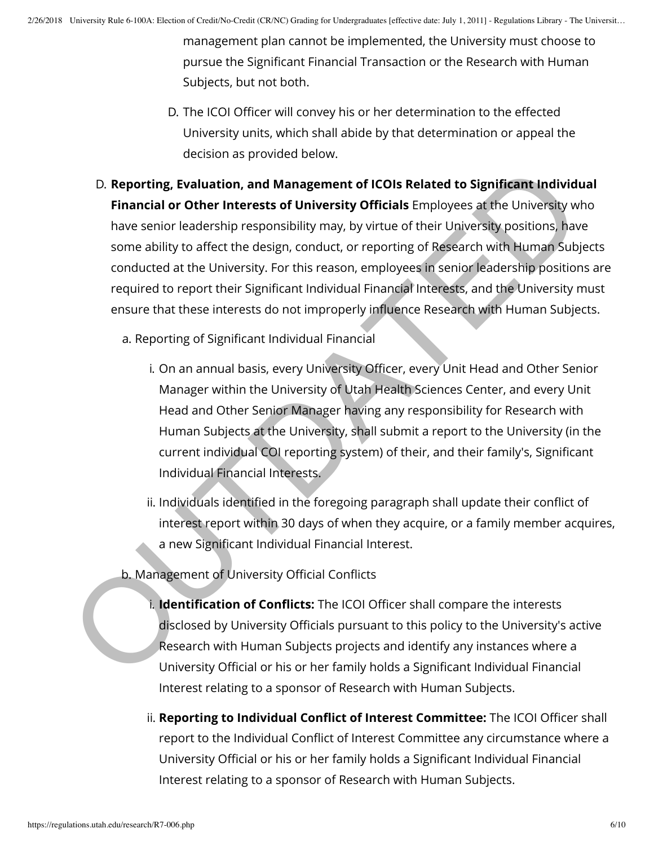management plan cannot be implemented, the University must choose to pursue the Significant Financial Transaction or the Research with Human Subjects, but not both.

- D. The ICOI Officer will convey his or her determination to the effected University units, which shall abide by that determination or appeal the decision as provided below.
- D. **Reporting, Evaluation, and Management of ICOIs Related to Significant Individual Financial or Other Interests of University Officials** Employees at the University who have senior leadership responsibility may, by virtue of their University positions, have some ability to affect the design, conduct, or reporting of Research with Human Subjects conducted at the University. For this reason, employees in senior leadership positions are required to report their Significant Individual Financial Interests, and the University must ensure that these interests do not improperly influence Research with Human Subjects. D. **Reporting, Evaluation, and Management of ICOIs Related to Significant Individual<br>
Financial or Other Interests of University Officials Employees at the University whave senior leadership responsibility may, by virtue o** 
	- a. Reporting of Significant Individual Financial
		- i. On an annual basis, every University Officer, every Unit Head and Other Senior Manager within the University of Utah Health Sciences Center, and every Unit Head and Other Senior Manager having any responsibility for Research with Human Subjects at the University, shall submit a report to the University (in the current individual COI reporting system) of their, and their family's, Signicant Individual Financial Interests.
		- ii. Individuals identified in the foregoing paragraph shall update their conflict of interest report within 30 days of when they acquire, or a family member acquires, a new Significant Individual Financial Interest.
	- b. Management of University Official Conflicts
		- i. **Identification of Conflicts:** The ICOI Officer shall compare the interests disclosed by University Officials pursuant to this policy to the University's active Research with Human Subjects projects and identify any instances where a University Official or his or her family holds a Significant Individual Financial Interest relating to a sponsor of Research with Human Subjects.
		- ii. Reporting to Individual Conflict of Interest Committee: The ICOI Officer shall report to the Individual Conflict of Interest Committee any circumstance where a University Official or his or her family holds a Significant Individual Financial Interest relating to a sponsor of Research with Human Subjects.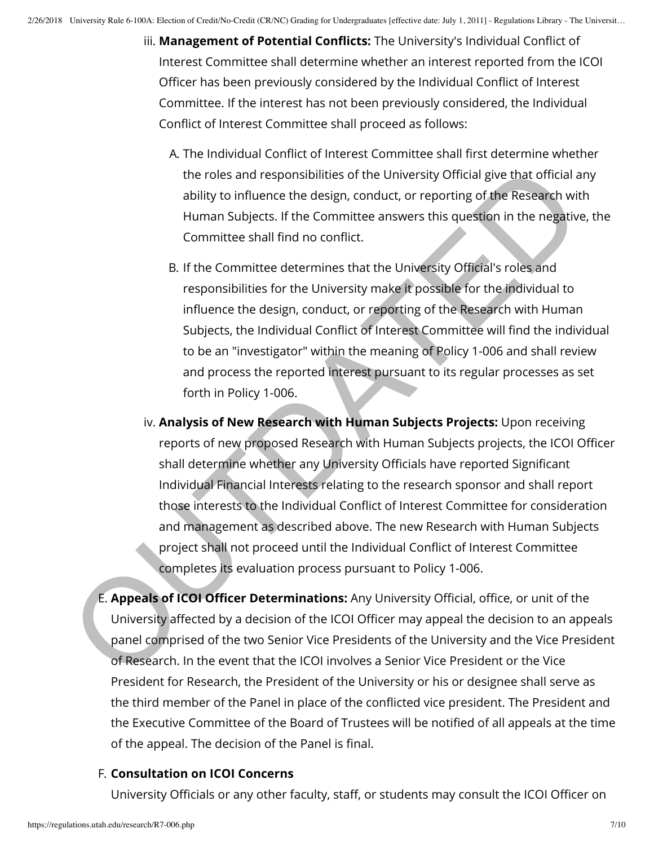- iii. Management of Potential Conflicts: The University's Individual Conflict of Interest Committee shall determine whether an interest reported from the ICOI Officer has been previously considered by the Individual Conflict of Interest Committee. If the interest has not been previously considered, the Individual Conflict of Interest Committee shall proceed as follows:
	- A. The Individual Conflict of Interest Committee shall first determine whether the roles and responsibilities of the University Official give that official any ability to influence the design, conduct, or reporting of the Research with Human Subjects. If the Committee answers this question in the negative, the Committee shall find no conflict.
	- B. If the Committee determines that the University Official's roles and responsibilities for the University make it possible for the individual to influence the design, conduct, or reporting of the Research with Human Subjects, the Individual Conflict of Interest Committee will find the individual to be an "investigator" within the meaning of Policy 1-006 and shall review and process the reported interest pursuant to its regular processes as set forth in Policy 1-006.
- iv. **Analysis of New Research with Human Subjects Projects:** Upon receiving reports of new proposed Research with Human Subjects projects, the ICOI Officer shall determine whether any University Officials have reported Significant Individual Financial Interests relating to the research sponsor and shall report those interests to the Individual Conflict of Interest Committee for consideration and management as described above. The new Research with Human Subjects project shall not proceed until the Individual Conflict of Interest Committee completes its evaluation process pursuant to Policy 1-006. the roles and responsibilities of the University Official give that official a<br>ability to influence the design, conduct, or reporting of the Research wit<br>Human Subjects. If the Committee answers this question in the negati
	- E. **Appeals of ICOI Officer Determinations:** Any University Official, office, or unit of the University affected by a decision of the ICOI Officer may appeal the decision to an appeals panel comprised of the two Senior Vice Presidents of the University and the Vice President of Research. In the event that the ICOI involves a Senior Vice President or the Vice President for Research, the President of the University or his or designee shall serve as the third member of the Panel in place of the conflicted vice president. The President and the Executive Committee of the Board of Trustees will be notified of all appeals at the time of the appeal. The decision of the Panel is final.

# F. **Consultation on ICOI Concerns**

University Officials or any other faculty, staff, or students may consult the ICOI Officer on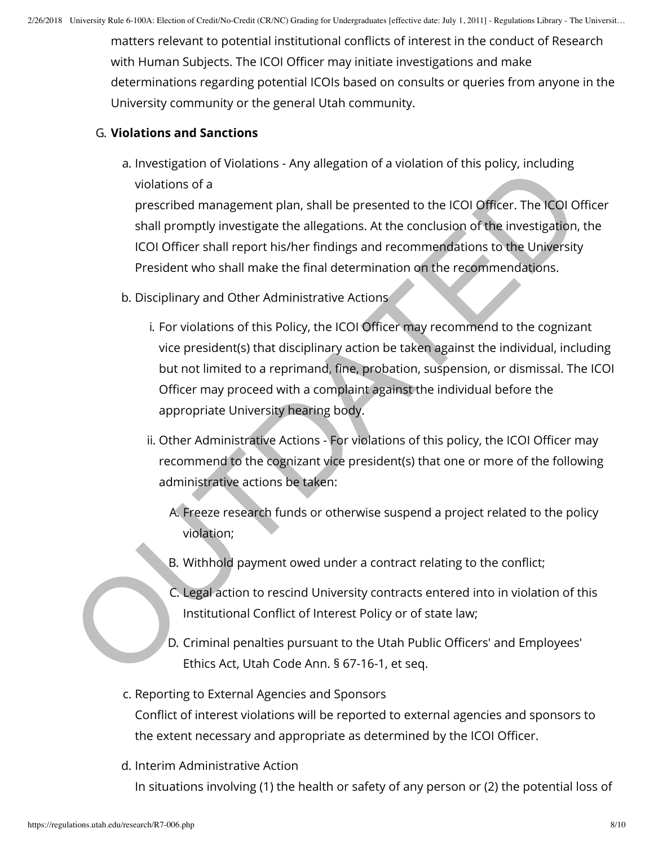matters relevant to potential institutional conflicts of interest in the conduct of Research with Human Subjects. The ICOI Officer may initiate investigations and make determinations regarding potential ICOIs based on consults or queries from anyone in the University community or the general Utah community.

# G. **Violations and Sanctions**

a. Investigation of Violations - Any allegation of a violation of this policy, including violations of a

prescribed management plan, shall be presented to the ICOI Officer. The ICOI Officer shall promptly investigate the allegations. At the conclusion of the investigation, the ICOI Officer shall report his/her findings and recommendations to the University President who shall make the final determination on the recommendations.

- b. Disciplinary and Other Administrative Actions
- i. For violations of this Policy, the ICOI Officer may recommend to the cognizant vice president(s) that disciplinary action be taken against the individual, including but not limited to a reprimand, fine, probation, suspension, or dismissal. The ICOI Officer may proceed with a complaint against the individual before the appropriate University hearing body. ative violations of a<br>
interval of the local of the ICOI Officer. The ICOI Officer and promptly investigate the allegations, At the conduction of the investigation,<br>
ICO Officer shall promptly investigate the allegations.
	- ii. Other Administrative Actions For violations of this policy, the ICOI Officer may recommend to the cognizant vice president(s) that one or more of the following administrative actions be taken:
		- A. Freeze research funds or otherwise suspend a project related to the policy violation;
		- B. Withhold payment owed under a contract relating to the conflict;
		- C. Legal action to rescind University contracts entered into in violation of this Institutional Conflict of Interest Policy or of state law;
		- D. Criminal penalties pursuant to the Utah Public Officers' and Employees' Ethics Act, Utah Code Ann. § 67-16-1, et seq.

# c. Reporting to External Agencies and Sponsors Conflict of interest violations will be reported to external agencies and sponsors to the extent necessary and appropriate as determined by the ICOI Officer.

d. Interim Administrative Action

In situations involving (1) the health or safety of any person or (2) the potential loss of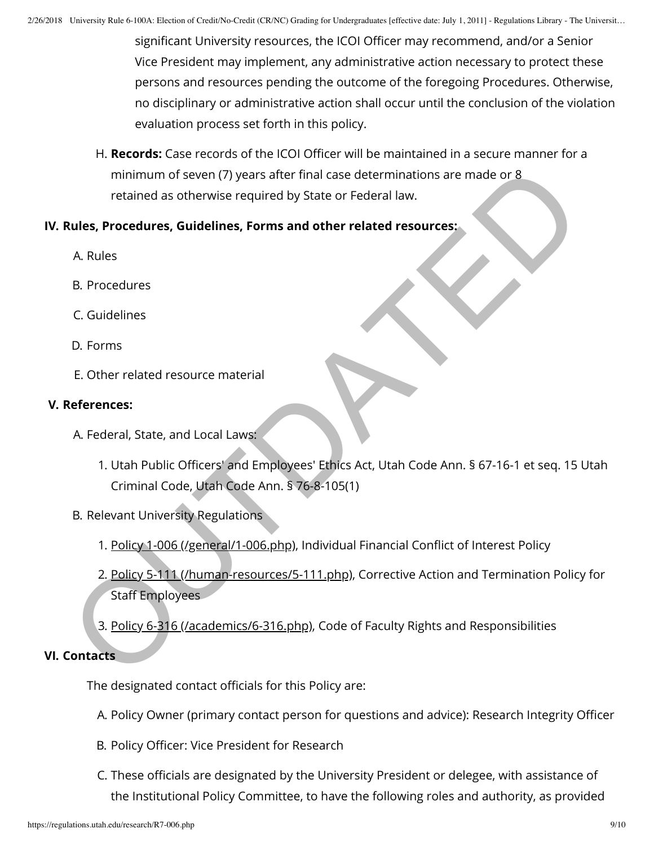significant University resources, the ICOI Officer may recommend, and/or a Senior Vice President may implement, any administrative action necessary to protect these persons and resources pending the outcome of the foregoing Procedures. Otherwise, no disciplinary or administrative action shall occur until the conclusion of the violation evaluation process set forth in this policy.

H. **Records:** Case records of the ICOI Officer will be maintained in a secure manner for a minimum of seven (7) years after final case determinations are made or  $8$ retained as otherwise required by State or Federal law. minimum of seven (7) years after final case determinations are made or 8<br>retained as otherwise required by State or Federal law.<br> **A. Rules**<br> **B. Procedures.**<br> **D. Forms**<br> **E.** [O](https://regulations.utah.edu/human-resources/5-111.php)ther related resource material<br> **Referal, St** 

# **IV. Rules, Procedures, Guidelines, Forms and other related resources:**

- A. Rules
- B. Procedures
- C. Guidelines
- D. Forms
- E. Other related resource material

# **V. References:**

- A. Federal, State, and Local Laws:
	- 1. Utah Public Officers' and Employees' Ethics Act, Utah Code Ann. § 67-16-1 et seq. 15 Utah Criminal Code, Utah Code Ann. § 76-8-105(1)
- B. Relevant University Regulations
	- 1. Policy 1-006 (/general/1-006.php), Individual Financial Conflict of Interest Policy
	- 2. Policy 5-111 (/human-resources/5-111.php), Corrective Action and Termination Policy for Staff Employees
	- 3. Policy 6-316 (/academics/6-316.php), Code of Faculty Rights and Responsibilities

## **VI. Contacts**

The designated contact officials for this Policy are:

- A. Policy Owner (primary contact person for questions and advice): Research Integrity Officer
- B. Policy Officer: Vice President for Research
- C. These officials are designated by the University President or delegee, with assistance of the Institutional Policy Committee, to have the following roles and authority, as provided